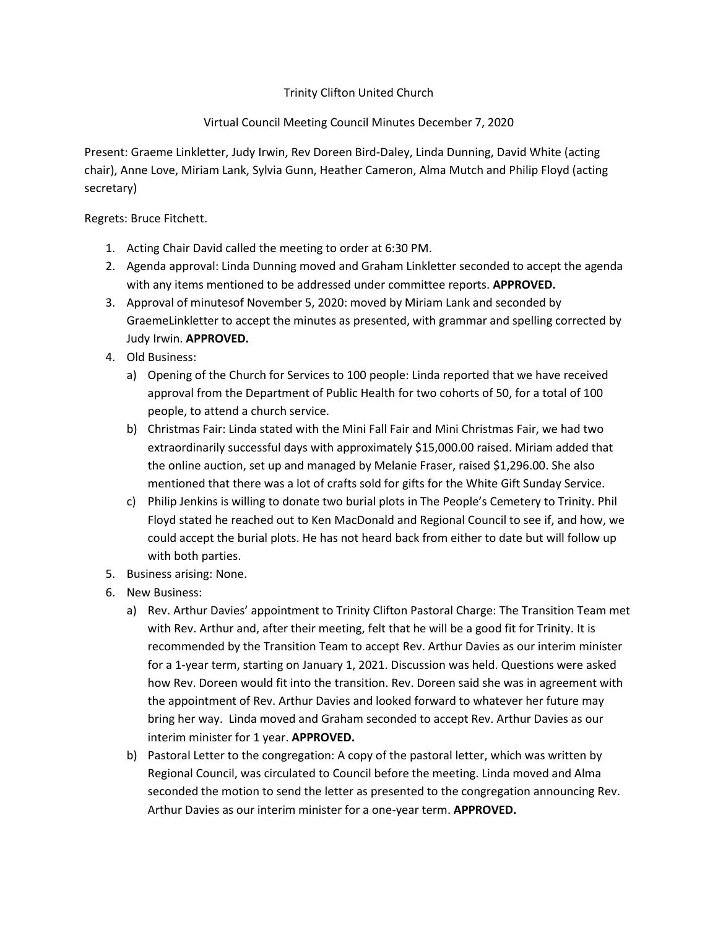## Trinity Clifton United Church

## Virtual Council Meeting Council Minutes December 7, 2020

Present: Graeme Linkletter, Judy Irwin, Rev Doreen Bird-Daley, Linda Dunning, David White (acting chair), Anne Love, Miriam Lank, Sylvia Gunn, Heather Cameron, Alma Mutch and Philip Floyd (acting secretary)

Regrets: Bruce Fitchett.

- 1. Acting Chair David called the meeting to order at 6:30 PM.
- 2. Agenda approval: Linda Dunning moved and Graham Linkletter seconded to accept the agenda with any items mentioned to be addressed under committee reports. **APPROVED.**
- 3. Approval of minutesof November 5, 2020: moved by Miriam Lank and seconded by GraemeLinkletter to accept the minutes as presented, with grammar and spelling corrected by Judy Irwin. **APPROVED.**
- 4. Old Business:
	- a) Opening of the Church for Services to 100 people: Linda reported that we have received approval from the Department of Public Health for two cohorts of 50, for a total of 100 people, to attend a church service.
	- b) Christmas Fair: Linda stated with the Mini Fall Fair and Mini Christmas Fair, we had two extraordinarily successful days with approximately \$15,000.00 raised. Miriam added that the online auction, set up and managed by Melanie Fraser, raised \$1,296.00. She also mentioned that there was a lot of crafts sold for gifts for the White Gift Sunday Service.
	- c) Philip Jenkins is willing to donate two burial plots in The People's Cemetery to Trinity. Phil Floyd stated he reached out to Ken MacDonald and Regional Council to see if, and how, we could accept the burial plots. He has not heard back from either to date but will follow up with both parties.
- 5. Business arising: None.
- 6. New Business:
	- a) Rev. Arthur Davies' appointment to Trinity Clifton Pastoral Charge: The Transition Team met with Rev. Arthur and, after their meeting, felt that he will be a good fit for Trinity. It is recommended by the Transition Team to accept Rev. Arthur Davies as our interim minister for a 1-year term, starting on January 1, 2021. Discussion was held. Questions were asked how Rev. Doreen would fit into the transition. Rev. Doreen said she was in agreement with the appointment of Rev. Arthur Davies and looked forward to whatever her future may bring her way. Linda moved and Graham seconded to accept Rev. Arthur Davies as our interim minister for 1 year. **APPROVED.**
	- b) Pastoral Letter to the congregation: A copy of the pastoral letter, which was written by Regional Council, was circulated to Council before the meeting. Linda moved and Alma seconded the motion to send the letter as presented to the congregation announcing Rev. Arthur Davies as our interim minister for a one-year term. **APPROVED.**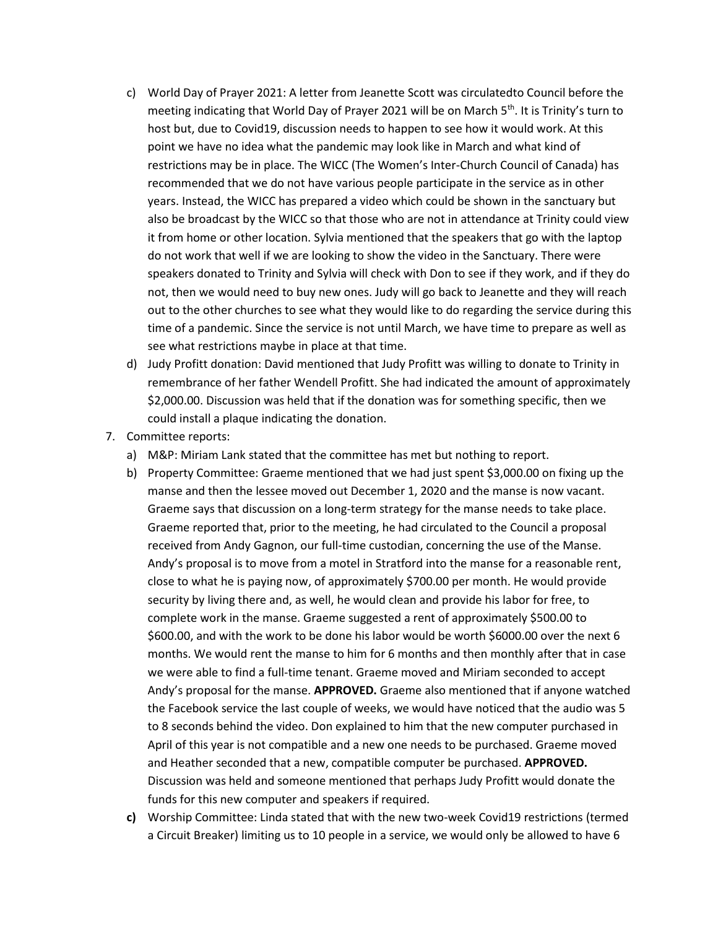- c) World Day of Prayer 2021: A letter from Jeanette Scott was circulatedto Council before the meeting indicating that World Day of Prayer 2021 will be on March 5<sup>th</sup>. It is Trinity's turn to host but, due to Covid19, discussion needs to happen to see how it would work. At this point we have no idea what the pandemic may look like in March and what kind of restrictions may be in place. The WICC (The Women's Inter-Church Council of Canada) has recommended that we do not have various people participate in the service as in other years. Instead, the WICC has prepared a video which could be shown in the sanctuary but also be broadcast by the WICC so that those who are not in attendance at Trinity could view it from home or other location. Sylvia mentioned that the speakers that go with the laptop do not work that well if we are looking to show the video in the Sanctuary. There were speakers donated to Trinity and Sylvia will check with Don to see if they work, and if they do not, then we would need to buy new ones. Judy will go back to Jeanette and they will reach out to the other churches to see what they would like to do regarding the service during this time of a pandemic. Since the service is not until March, we have time to prepare as well as see what restrictions maybe in place at that time.
- d) Judy Profitt donation: David mentioned that Judy Profitt was willing to donate to Trinity in remembrance of her father Wendell Profitt. She had indicated the amount of approximately \$2,000.00. Discussion was held that if the donation was for something specific, then we could install a plaque indicating the donation.
- 7. Committee reports:
	- a) M&P: Miriam Lank stated that the committee has met but nothing to report.
	- b) Property Committee: Graeme mentioned that we had just spent \$3,000.00 on fixing up the manse and then the lessee moved out December 1, 2020 and the manse is now vacant. Graeme says that discussion on a long-term strategy for the manse needs to take place. Graeme reported that, prior to the meeting, he had circulated to the Council a proposal received from Andy Gagnon, our full-time custodian, concerning the use of the Manse. Andy's proposal is to move from a motel in Stratford into the manse for a reasonable rent, close to what he is paying now, of approximately \$700.00 per month. He would provide security by living there and, as well, he would clean and provide his labor for free, to complete work in the manse. Graeme suggested a rent of approximately \$500.00 to \$600.00, and with the work to be done his labor would be worth \$6000.00 over the next 6 months. We would rent the manse to him for 6 months and then monthly after that in case we were able to find a full-time tenant. Graeme moved and Miriam seconded to accept Andy's proposal for the manse. **APPROVED.** Graeme also mentioned that if anyone watched the Facebook service the last couple of weeks, we would have noticed that the audio was 5 to 8 seconds behind the video. Don explained to him that the new computer purchased in April of this year is not compatible and a new one needs to be purchased. Graeme moved and Heather seconded that a new, compatible computer be purchased. **APPROVED.** Discussion was held and someone mentioned that perhaps Judy Profitt would donate the funds for this new computer and speakers if required.
	- **c)** Worship Committee: Linda stated that with the new two-week Covid19 restrictions (termed a Circuit Breaker) limiting us to 10 people in a service, we would only be allowed to have 6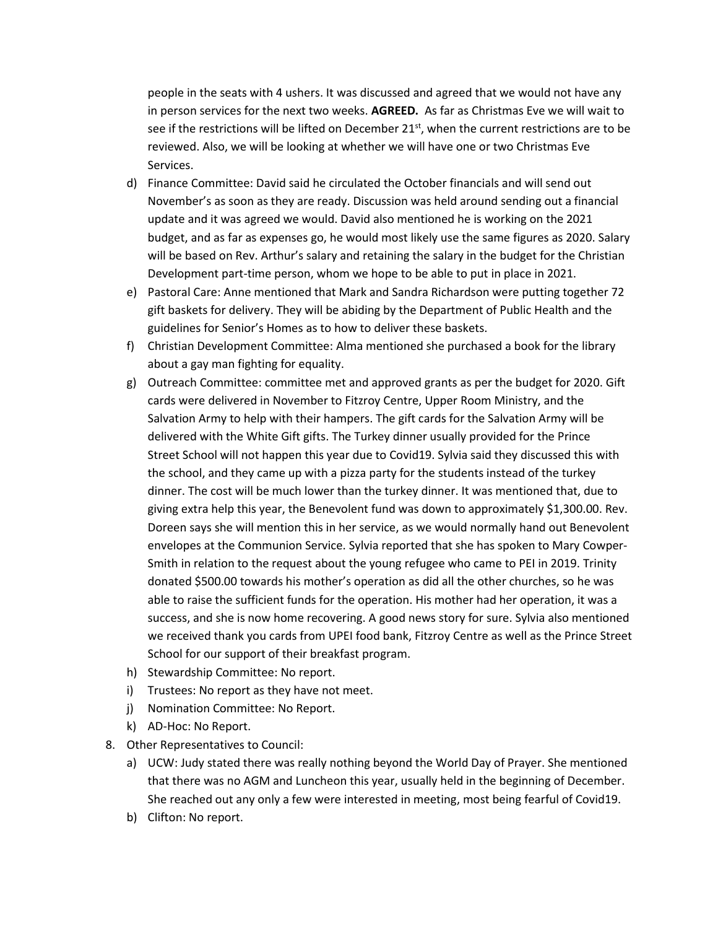people in the seats with 4 ushers. It was discussed and agreed that we would not have any in person services for the next two weeks. **AGREED.** As far as Christmas Eve we will wait to see if the restrictions will be lifted on December 21<sup>st</sup>, when the current restrictions are to be reviewed. Also, we will be looking at whether we will have one or two Christmas Eve Services.

- d) Finance Committee: David said he circulated the October financials and will send out November's as soon as they are ready. Discussion was held around sending out a financial update and it was agreed we would. David also mentioned he is working on the 2021 budget, and as far as expenses go, he would most likely use the same figures as 2020. Salary will be based on Rev. Arthur's salary and retaining the salary in the budget for the Christian Development part-time person, whom we hope to be able to put in place in 2021.
- e) Pastoral Care: Anne mentioned that Mark and Sandra Richardson were putting together 72 gift baskets for delivery. They will be abiding by the Department of Public Health and the guidelines for Senior's Homes as to how to deliver these baskets.
- f) Christian Development Committee: Alma mentioned she purchased a book for the library about a gay man fighting for equality.
- g) Outreach Committee: committee met and approved grants as per the budget for 2020. Gift cards were delivered in November to Fitzroy Centre, Upper Room Ministry, and the Salvation Army to help with their hampers. The gift cards for the Salvation Army will be delivered with the White Gift gifts. The Turkey dinner usually provided for the Prince Street School will not happen this year due to Covid19. Sylvia said they discussed this with the school, and they came up with a pizza party for the students instead of the turkey dinner. The cost will be much lower than the turkey dinner. It was mentioned that, due to giving extra help this year, the Benevolent fund was down to approximately \$1,300.00. Rev. Doreen says she will mention this in her service, as we would normally hand out Benevolent envelopes at the Communion Service. Sylvia reported that she has spoken to Mary Cowper-Smith in relation to the request about the young refugee who came to PEI in 2019. Trinity donated \$500.00 towards his mother's operation as did all the other churches, so he was able to raise the sufficient funds for the operation. His mother had her operation, it was a success, and she is now home recovering. A good news story for sure. Sylvia also mentioned we received thank you cards from UPEI food bank, Fitzroy Centre as well as the Prince Street School for our support of their breakfast program.
- h) Stewardship Committee: No report.
- i) Trustees: No report as they have not meet.
- j) Nomination Committee: No Report.
- k) AD-Hoc: No Report.
- 8. Other Representatives to Council:
	- a) UCW: Judy stated there was really nothing beyond the World Day of Prayer. She mentioned that there was no AGM and Luncheon this year, usually held in the beginning of December. She reached out any only a few were interested in meeting, most being fearful of Covid19.
	- b) Clifton: No report.